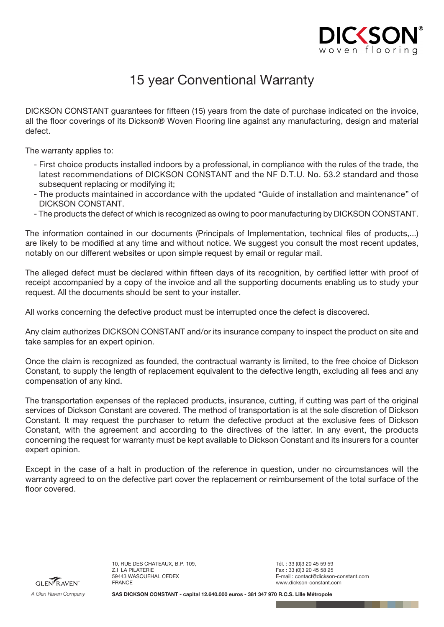

## 15 year Conventional Warranty

DICKSON CONSTANT guarantees for fifteen (15) years from the date of purchase indicated on the invoice, all the floor coverings of its Dickson® Woven Flooring line against any manufacturing, design and material defect.

The warranty applies to:

- First choice products installed indoors by a professional, in compliance with the rules of the trade, the latest recommendations of DICKSON CONSTANT and the NF D.T.U. No. 53.2 standard and those subsequent replacing or modifying it;
- The products maintained in accordance with the updated "Guide of installation and maintenance" of DICKSON CONSTANT.
- The products the defect of which is recognized as owing to poor manufacturing by DICKSON CONSTANT.

The information contained in our documents (Principals of Implementation, technical files of products,...) are likely to be modified at any time and without notice. We suggest you consult the most recent updates, notably on our different websites or upon simple request by email or regular mail.

The alleged defect must be declared within fifteen days of its recognition, by certified letter with proof of receipt accompanied by a copy of the invoice and all the supporting documents enabling us to study your request. All the documents should be sent to your installer.

All works concerning the defective product must be interrupted once the defect is discovered.

Any claim authorizes DICKSON CONSTANT and/or its insurance company to inspect the product on site and take samples for an expert opinion.

Once the claim is recognized as founded, the contractual warranty is limited, to the free choice of Dickson Constant, to supply the length of replacement equivalent to the defective length, excluding all fees and any compensation of any kind.

The transportation expenses of the replaced products, insurance, cutting, if cutting was part of the original services of Dickson Constant are covered. The method of transportation is at the sole discretion of Dickson Constant. It may request the purchaser to return the defective product at the exclusive fees of Dickson Constant, with the agreement and according to the directives of the latter. In any event, the products concerning the request for warranty must be kept available to Dickson Constant and its insurers for a counter expert opinion.

Except in the case of a halt in production of the reference in question, under no circumstances will the warranty agreed to on the defective part cover the replacement or reimbursement of the total surface of the floor covered.



10, RUE DES CHATEAUX, B.P. 109, Z.I LA PILATERIE 59443 WASQUEHAL CEDEX FRANCE

Tél. : 33 (0)3 20 45 59 59 Fax: 33 (0) 3 20 45 58 25 E-mail : contact@dickson-constant.com www.dickson-constant.com

**SAS DICKSON CONSTANT - capital 12.640.000 euros - 381 347 970 R.C.S. Lille Métropole**